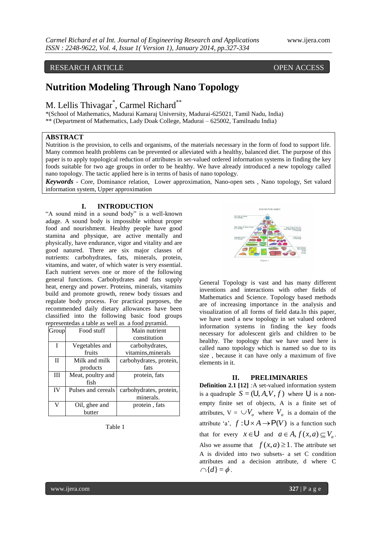# RESEARCH ARTICLE **CONTRACT OPEN ACCESS**

# **Nutrition Modeling Through Nano Topology**

# M. Lellis Thivagar<sup>\*</sup>, Carmel Richard<sup>\*\*</sup>

\*(School of Mathematics, Madurai Kamaraj University, Madurai-625021, Tamil Nadu, India) \*\* (Department of Mathematics, Lady Doak College, Madurai – 625002, Tamilnadu India)

### **ABSTRACT**

Nutrition is the provision, to cells and organisms, of the materials necessary in the form of food to support life. Many common health problems can be prevented or alleviated with a healthy, balanced diet. The purpose of this paper is to apply topological reduction of attributes in set-valued ordered information systems in finding the key foods suitable for two age groups in order to be healthy. We have already introduced a new topology called nano topology. The tactic applied here is in terms of basis of nano topology.

*Keywords* - Core, Dominance relation, Lower approximation, Nano-open sets , Nano topology, Set valued information system, Upper approximation

# **I. INTRODUCTION**

"A sound mind in a sound body" is a well-known adage. A sound body is impossible without proper food and nourishment. Healthy people have good stamina and physique, are active mentally and physically, have endurance, vigor and vitality and are good natured. There are six major classes of nutrients: carbohydrates, fats, minerals, protein, vitamins, and water, of which water is very essential. Each nutrient serves one or more of the following general functions. Carbohydrates and fats supply heat, energy and power. Proteins, minerals, vitamins build and promote growth, renew body tissues and regulate body process. For practical purposes, the recommended daily dietary allowances have been classified into the following basic food groups representedas a table as well as a food pyramid.

| Group        | Food stuff         | Main nutrient           |
|--------------|--------------------|-------------------------|
|              |                    | constitution            |
| T            | Vegetables and     | carbohydrates,          |
|              | fruits             | vitamins, minerals      |
| $\mathbf{I}$ | Milk and milk      | carbohydrates, protein, |
|              | products           | fats                    |
| Ш            | Meat, poultry and  | protein, fats           |
|              | fish               |                         |
| IV           | Pulses and cereals | carbohydrates, protein, |
|              |                    | minerals.               |
| V            | Oil, ghee and      | protein, fats           |
|              | butter             |                         |

Table 1



General Topology is vast and has many different inventions and interactions with other fields of Mathematics and Science. Topology based methods are of increasing importance in the analysis and visualization of all forms of field data.In this paper, we have used a new topology in set valued ordered information systems in finding the key foods necessary for adolescent girls and children to be healthy. The topology that we have used here is called nano topology which is named so due to its size , because it can have only a maximum of five elements in it.

### **II. PRELIMINARIES**

**Definition 2.1 [12]** *:*A set-valued information system is a quadruple  $S = (U, A, V, f)$  where U is a nonempty finite set of objects, A is a finite set of attributes,  $V = \bigcup V_a$  where  $V_a$  is a domain of the attribute 'a',  $f: U \times A \rightarrow P(V)$  is a function such that for every  $x \in U$  and  $a \in A, f(x, a) \subseteq V_a$ . Also we assume that  $f(x, a) \ge 1$ . The attribute set A is divided into two subsets- a set C condition attributes and a decision attribute, d where C  $\cap$ { $d$ } =  $\phi$ .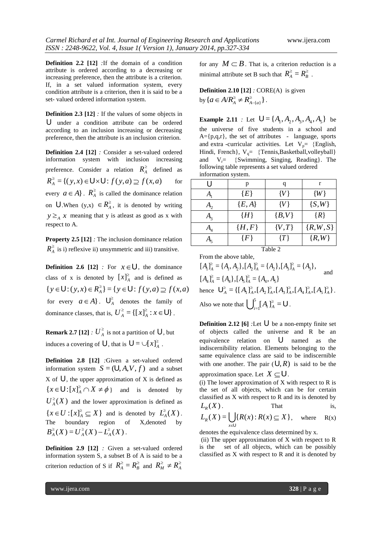**Definition 2.2 [12]** *:*If the domain of a condition attribute is ordered according to a decreasing or increasing preference, then the attribute is a criterion. If, in a set valued information system, every condition attribute is a criterion, then it is said to be a set- valued ordered information system.

**Definition 2.3 [12]** *:* If the values of some objects in U under a condition attribute can be ordered according to an inclusion increasing or decreasing preference, then the attribute is an inclusion criterion.

**Definition 2.4 [12]** *:* Consider a set-valued ordered information system with inclusion increasing preference. Consider a relation  $R_A^{\geq}$  defined as  $R_A^{\geq} = \{ (y, x) \in \mathsf{U} \times \mathsf{U} : f(y, a) \supseteq f(x, a) \}$ for every  $a \in A$ .  $R_A^{\geq}$  is called the dominance relation on **U**. When  $(y,x) \in R_A^2$ , it is denoted by writing  $y \geq_A x$  meaning that y is at east as good as x with respect to A.

**Property 2.5 [12]** *:* The inclusion dominance relation  $R_A^{\geq}$  is i) reflexive ii) unsymmetric and iii) transitive.

**Definition 2.6 [12]**  $:$  For  $x \in U$ , the dominance class of x is denoted by  $[x]_A^{\geq}$  $[x]_A^2$  and is defined as  $\{y \in U : (y, x) \in R_A^{\geq}\} = \{y \in U : f(y, a) \supseteq f(x, a)\}$ for every  $a \in A$ .  $\bigcup_{A}^{\ge}$  denotes the family of dominance classes, that is,  $U_A^{\geq} = \{ [x]_A^{\geq} : x \in \mathsf{U} \}$ .

**Remark 2.7 [12]** *:*  $U_A^{\geq}$  is not a partition of  $\bigcup$ , but induces a covering of **U**, that is  $\mathbf{U} = \cup [x]_A^2$ .

**Definition 2.8 [12]** *:*Given a set-valued ordered information system  $S = (U, A, V, f)$  and a subset X of  $\bigcup$ , the upper approximation of X is defined as  $\{x \in \bigcup \{x\}^{\geq} \cap X \neq \emptyset\}$  and is denoted by  $U_A^{\geq}(X)$  and the lower approximation is defined as  $\{x \in U : [x]_A^{\geq} \subseteq X\}$  and is denoted by  $L_A^{\geq}(X)$ . The boundary region of X,denoted by  $B_A^{\geq}(X) = U_A^{\geq}(X) - L_A^{\geq}(X)$ .

**Definition 2.9 [12]** *:* Given a set-valued ordered information system S, a subset B of A is said to be a criterion reduction of S if  $R_A^{\geq} = R_B^{\geq}$  and  $R_M^{\geq} \neq R_A^{\geq}$ 

for any  $M \subset B$ . That is, a criterion reduction is a minimal attribute set B such that  $R_A^{\geq} = R_B^{\geq}$ .

**Definition 2.10 [12]** *:* CORE(A) is given by  $\{a \in A/R_A^{\ge} \neq R_{A-\{a\}}^{\ge} \}$ ÷  $a \in A/R_A^{\geq} \neq R_{A-\{a\}}^{\geq}$ .

**Example 2.11** *:* Let  $U = \{A_1, A_2, A_3, A_4, A_5\}$  be the universe of five students in a school and  $A = \{p,q,r\}$ , the set of attributes - language, sports and extra -curricular activities. Let  $V_p$ = {English, Hindi, French},  $V_q = \{Tennis, Basketball, volleyball\}$ and  $V_r = \{Swimming, Singing, Reading\}$ . The following table represents a set valued ordered information system.

|         | p          | q         | r           |  |
|---------|------------|-----------|-------------|--|
|         | $\{E\}$    | ${V}$     | $\{W\}$     |  |
| А,      | $\{E, A\}$ | ${V}$     | $\{S,W\}$   |  |
| $A_3$   | $\{H\}$    | $\{B,V\}$ | $\{R\}$     |  |
|         | $\{H,F\}$  | $\{V,T\}$ | $\{R,W,S\}$ |  |
|         | $\{F\}$    | $\{T\}$   | $\{R,W\}$   |  |
| Table 2 |            |           |             |  |

From the above table,

 $[A_4]_A^2 = \{A_4\}, [A_5]_A^2 = \{A_4, A_5\}$  $[A_1]_A^2 = \{A_1, A_2\}, [A_2]_A^2 = \{A_2\}, [A_3]_A^2 = \{A_3\},\$  $\geq$   $($   $\wedge$   $)$   $\uparrow$   $\wedge$   $\uparrow$   $\geq$  $\geq$   $(A \quad A \quad I \quad I \quad A \quad I \geq$   $(A \quad I \quad I \quad A \quad I \geq$  and hence  $\mathbf{U}_{A}^{\geq} = \{ [A_{1}]_{A}^{\geq}, [A_{2}]_{A}^{\geq}, [A_{3}]_{A}^{\geq}, [A_{4}]_{A}^{\geq}, [A_{5}]_{A}^{\geq} \}.$ Also we note that  $\left[\int_{a}^{5} [A_i]_A^{\ge} = \mathsf{U}\right]$  $=1$  $\bigcup_{i=1}^{5} [A_i]_A^{\ge} = \bigcup$ .

**Definition 2.12 [6]**  $:$  Let  $\bigcup$  be a non-empty finite set of objects called the universe and R be an equivalence relation on U named as the indiscernibility relation. Elements belonging to the same equivalence class are said to be indiscernible with one another. The pair  $(U, R)$  is said to be the

approximation space. Let  $X \subseteq U$ .

(i) The lower approximation of  $X$  with respect to  $R$  is the set of all objects, which can be for certain classified as X with respect to R and its is denoted by  $L_p(X)$ . . That is,

$$
L_R(X) = \bigcup_{x \in U} \{ R(x) : R(x) \subseteq X \}, \quad \text{where} \quad R(x)
$$

denotes the equivalence class determined by x.

(ii) The upper approximation of X with respect to R is the set of all objects, which can be possibly classified as X with respect to R and it is denoted by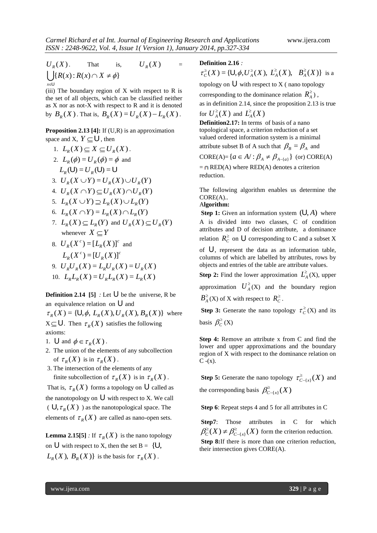$U_R(X)$ . That is,  $U_R(X)$ =  $\bigcup_{x} \{ R(x) : R(x) \cap X \neq \emptyset \}$ E *x* U

(iii) The boundary region of  $X$  with respect to  $R$  is the set of all objects, which can be classified neither as X nor as not-X with respect to R and it is denoted by  $B_R(X)$ . That is,  $B_R(X) = U_R(X) - L_R(X)$ .

**Proposition 2.13 [4]:** If (U,R) is an approximation space and X,  $Y \subseteq U$ , then

1. 
$$
L_R(X) \subseteq X \subseteq U_R(X)
$$
.  
\n2.  $L_R(\phi) = U_R(\phi) = \phi$  and  
\n $L_R(U) = U_R(U) = U$   
\n3.  $U_R(X \cup Y) = U_R(X) \cup U_R(Y)$   
\n4.  $U_R(X \cap Y) \subseteq U_R(X) \cap U_R(Y)$   
\n5.  $L_R(X \cup Y) \supseteq L_R(X) \cup L_R(Y)$ 

- 6.  $L_R(X \cap Y) = L_R(X) \cap L_R(Y)$
- 7.  $L_R(X) \subseteq L_R(Y)$  and  $U_R(X) \subseteq U_R(Y)$ whenever  $X \subseteq Y$

8. 
$$
U_R(X^c) = [L_R(X)]^c
$$
 and  
\n $L_R(X^c) = [U_R(X)]^c$   
\n9.  $U_RU_R(X) = L_RU_R(X) = U_R(X)$   
\n10.  $L_RL_R(X) = U_RL_R(X) = L_R(X)$ 

**Definition 2.14** [5]  $:$  Let  $\bigcup$  be the universe, R be an equivalence relation on  $\bigcup$  and  $\tau_R(X) = \{U, \phi, L_R(X), U_R(X), B_R(X)\}$  where

 $X \subseteq U$ . Then  $\tau_R(X)$  satisfies the following axioms:

- 1.  $\bigcup$  and  $\phi \in \tau_R(X)$ .
- 2. The union of the elements of any subcollection of  $\tau_R(X)$  is in  $\tau_R(X)$ .
- 3. The intersection of the elements of any finite subcollection of  $\tau_R(X)$  is in  $\tau_R(X)$ .

That is,  $\tau_R(X)$  forms a topology on **U** called as the nanotopology on  $\bigcup$  with respect to X. We call  $(\bigcup, \tau_R(X))$  as the nanotopological space. The elements of  $\tau_R(X)$  are called as nano-open sets.

**Lemma 2.15[5]** *:* If  $\tau_R(X)$  is the nano topology on U with respect to X, then the set  $B = \{U,$  $L_R(X)$ ,  $B_R(X)$ } is the basis for  $\tau_R(X)$ .

#### **Definition 2.16** *:*

 $\tau_c^{\geq}(X) = \{ \bigcup, \phi, U_A^{\geq}(X), L_A^{\geq}(X), B_A^{\geq}(X) \}$  is a topology on  $\bigcup$  with respect to X (nano topology corresponding to the dominance relation  $R_A^{\geq}$ ), as in definition 2.14, since the proposition 2.13 is true for  $U_A^{\geq}(X)$  and  $L_A^{\geq}(X)$ **Definition2.17:** In terms of basis of a nano topological space, a criterion reduction of a set valued ordered information system is a minimal attribute subset B of A such that  $\beta_B = \beta_A$  and CORE(A)= $\{a \in A' : \beta_A \neq \beta_{A-\{a\}}\}$  (or) CORE(A)

 $= \bigcap$  RED(A) where RED(A) denotes a criterion reduction.

The following algorithm enables us determine the CORE(A)..

#### A**lgorithm:**

**Step 1:** Given an information system  $(U, A)$  where A is divided into two classes, C of condition attributes and D of decision attribute, a dominance relation  $R_C^{\geq}$  on  $\bigcup$  corresponding to C and a subset X

of U , represent the data as an information table, columns of which are labelled by attributes, rows by objects and entries of the table are attribute values.

**Step 2:** Find the lower approximation  $L^2_A(X)$ , upper approximation  $U_A^{\geq}(X)$  and the boundary region  $B_A^{\geq}(X)$  of X with respect to  $R_C^{\geq}$ .

**Step 3:** Generate the nano topology  $\tau_c^2$  $\tau_C^{\leq}(X)$  and its basis  $\beta_C^{\geq}(X)$ 

**Step 4:** Remove an attribute x from C and find the lower and upper approximations and the boundary region of X with respect to the dominance relation on  $C - (x)$ .

**Step 5:** Generate the nano topology  $\tau_{C-\lbrace x \rbrace}^{\geq}(X)$  $\tau_{C-\{x\}}^{\geq}(X)$  and the corresponding basis  $\beta_{C-\{x\}}^{\geq}(X)$ 

**Step 6**: Repeat steps 4 and 5 for all attributes in C

**Step7**: Those attributes in C for which  $C_c^{\geq}(X) \neq \beta_{C-\{x\}}^{\geq}(X)$  $\overline{a}$  $\beta_C^{\geq}(X) \neq \beta_{C-(x)}^{\geq}(X)$  form the criterion reduction. Step 8:If there is more than one criterion reduction, their intersection gives CORE(A).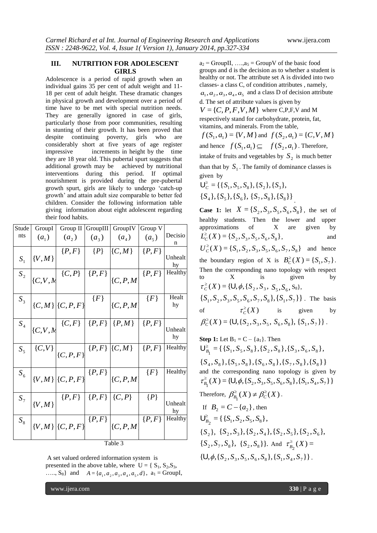# **III. NUTRITION FOR ADOLESCENT GIRLS**

Adolescence is a period of rapid growth when an individual gains 35 per cent of adult weight and 11- 18 per cent of adult height. These dramatic changes in physical growth and development over a period of time have to be met with special nutrition needs. They are generally ignored in case of girls, particularly those from poor communities, resulting in stunting of their growth. It has been proved that despite continuing poverty, girls who are considerably short at five years of age register impressive increments in height by the time they are 18 year old. This pubertal spurt suggests that additional growth may be achieved by nutritional interventions during this period. If optimal nourishment is provided during the pre-pubertal growth spurt, girls are likely to undergo "catch-up growth" and attain adult size comparable to better fed children. Consider the following information table giving information about eight adolescent regarding their food habits.

| Stude              | GroupI  | Group II                                                 | GroupIII | GroupIV                                                                                                       | Group V   |             |
|--------------------|---------|----------------------------------------------------------|----------|---------------------------------------------------------------------------------------------------------------|-----------|-------------|
| nts                | $(a_1)$ | $(a_2)$                                                  | $(a_3)$  | $(a_4)$                                                                                                       | $(a_5)$   | Decisio     |
|                    |         |                                                          |          |                                                                                                               |           | n           |
| $S_{1}$            | ${V,M}$ | $\{P,F\}$                                                | $\{P\}$  | $\{C,M\}$                                                                                                     | $\{P,F\}$ | Unhealt     |
|                    |         |                                                          |          |                                                                                                               |           | hy          |
| $S_{2}$            |         | $ {C,V,h} $ $\{C,\overline{P}\}\subseteq P,\overline{P}$ |          |                                                                                                               | $\{P,F\}$ | Healthy     |
|                    |         |                                                          |          | $\{C, P, M\}$                                                                                                 |           |             |
|                    |         |                                                          |          |                                                                                                               |           |             |
| $S_3$              |         |                                                          |          | $\Big _{\{C,M\}}\Big _{\{C,P,F\}}\Big ^{fF\}\Big _{\{C,P,M\}}$                                                | ${F}$     | Healt<br>hy |
|                    |         |                                                          |          |                                                                                                               |           |             |
|                    |         |                                                          |          | $\begin{array}{c c c c c} & C, & F & P, & P \end{array} \begin{array}{c c c c} & P, & F & P, & P \end{array}$ |           |             |
| $\boldsymbol{S}_4$ |         |                                                          |          |                                                                                                               |           | Unhealt     |
|                    |         |                                                          |          |                                                                                                               |           | hy          |
| $S_5$              |         | $\{C,V\}\Big _{\{C,P,F\}}\{P,F\}\Big  \{C,M\}\Big $      |          |                                                                                                               | $\{P,F\}$ | Healthy     |
|                    |         |                                                          |          |                                                                                                               |           |             |
|                    |         |                                                          |          |                                                                                                               |           |             |
| $S_{\rm 6}$        |         | $ _{\{V,M\}} _{\{C,P,F\}}$ $\{P,F\} _{\{C,P,M\}}$        |          |                                                                                                               | ${F}$     | Healthy     |
|                    |         |                                                          |          |                                                                                                               |           |             |
|                    |         | ${P,F}   {P,F}   {C,P}$                                  |          |                                                                                                               | $\{P\}$   |             |
| $S_{7}$            | ${V,M}$ |                                                          |          |                                                                                                               |           | Unhealt     |
|                    |         |                                                          |          |                                                                                                               |           | hy          |
| $S_8$              |         | ${V,M}$ $(C, P, F)$                                      |          | $\overline{\{P,F\}}\bigg _{\{C,P,M\}}$                                                                        | $\{P,F\}$ | Healthy     |
|                    |         |                                                          |          |                                                                                                               |           |             |
|                    |         |                                                          |          |                                                                                                               |           |             |
|                    |         |                                                          |          | Table 3                                                                                                       |           |             |

A set valued ordered information system is presented in the above table, where  $U = \{S_1, S_2, S_3,$ ...., S<sub>8</sub>} and  $A = \{a_1, a_2, a_3, a_4, a_5, d\}$ ,  $a_1 = \text{GroupI}$ ,

 $a_2$  = GroupII, ..., $a_5$  = GroupV of the basic food groups and d is the decision as to whether a student is healthy or not. The attribute set A is divided into two classes- a class C, of condition attributes , namely,  $a_1, a_2, a_3, a_4, a_5$  and a class D of decision attribute d. The set of attribute values is given by  $V = \{C, P, F, V, M\}$  where C, P, F, V and M respectively stand for carbohydrate, protein, fat, vitamins, and minerals. From the table,

 $f(S_1, a_1) = \{V, M\}$  and  $f(S_2, a_1) = \{C, V, M\}$ and hence  $f(S_1, a_1) \subseteq f(S_2, a_1)$ . Therefore, intake of fruits and vegetables by  $S_2$  is much better than that by  $S_1$ . The family of dominance classes is

given by  $\bigcup_{C}^{\geq} = {\{S_1, S_5, S_8\}, \{S_2\}, \{S_3\}},$  ${S_4}, {S_5}, {S_6}, {S_7}, S_8, {S_8}$ 

**Case 1:** let  $X = \{S_2, S_3, S_5, S_6, S_8\}$ , the set of healthy students. Then the lower and upper approximations of X are given by  $L_C^{\geq}(X) = \{ S_2, S_3, S_5, S_6, S_8 \}$ , and  $U_c^{\geq}(X) = \{ S_1, S_2, S_3, S_5, S_6, S_7, S_8 \}$  and hence the boundary region of X is  $B_C^{\geq}(X) = \{S_1, S_7\}.$ Then the corresponding nano topology with respect to X is given by  $\tau_c^{\geq}(X) = \{ \mathsf{U}, \phi, \{ S_2, S_3, S_5, S_6, S_8 \},\}$  $\{S_1, S_2, S_3, S_5, S_6, S_7, S_8\}, \{S_1, S_7\}\}\.$  The basis of  $\tau_C^{\geq}(X)$ is given by  $\beta_c^{\geq}(X) = \{ \mathsf{U}, \{ S_2, S_3, S_5, S_6, S_8 \}, \{ S_1, S_7 \} \}$ .

Step 1: Let 
$$
B_1 = C - \{a_1\}
$$
. Then  
\n
$$
\bigcup_{B_1}^{\geq} = \{ \{S_1, S_5, S_8\}, \{S_2, S_8\}, \{S_3, S_6, S_8\}, \{S_4, S_8\}, \{S_5, S_8\}, \{S_6, S_8\}, \{S_7, S_8\}, \{S_8\} \}
$$
\nand the corresponding nano topology is given by  
\n
$$
\tau_{B_1}^{\geq}(X) = \{U, \phi, \{S_2, S_3, S_5, S_6, S_8\}, \{S_1, S_4, S_7\} \}
$$
\nTherefore,  $\beta_{B_1}^{\geq}(X) \neq \beta_C^{\geq}(X)$ .  
\nIf  $B_2 = C - \{a_2\}$ , then  
\n
$$
\bigcup_{B_2}^{\geq} = \{ \{S_1, S_2, S_5, S_8\}, \{S_2, S_5\}, \{S_2, S_6\}, \{S_2, S_7, S_8\}, \{S_2, S_3\}, \{S_2, S_8\} \}
$$
. And  $\tau_{B_2}^{\geq}(X) = \{U, \phi, \{S_2, S_3, S_5, S_6, S_8\}, \{S_1, S_4, S_7\} \}$ .

www.ijera.com **330** | P a g e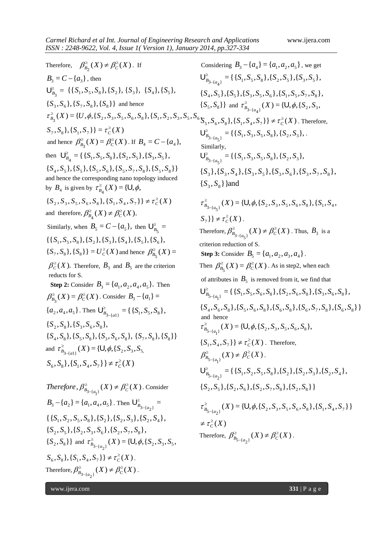Therefore,  $\beta_{B_2}^{\geq}(X) \neq \beta_C^{\geq}(X)$ . If  $B_3 = C - \{a_3\}$ , then  $\bigcup_{B_3}^{\geq}$  = {{ $S_1, S_5, S_8$ }, { $S_2$ }, { $S_3$ }, { $S_4$ }, { $S_5$ },  ${ S<sub>3</sub>, S<sub>6</sub> }, { S<sub>7</sub>, S<sub>8</sub> }, { S<sub>8</sub> }$  and hence  ${S_7, S_8}, {S_1, S_7} = \tau_c^2(X)$  $\sum_{B_3}^{\geq}$  (*X*) = {*U*, $\phi$ , { $S_2$ ,  $S_3$ ,  $S_5$ ,  $S_6$ ,  $S_8$ }, { $S_1$ ,  $S_2$ ,  $S_3$ ,  $S_5$ ,  $S_6$ <sub>1</sub>  $\tau_c^{\geq}$  $\tau_{B_2}^{\geq}(X)=\{U,\phi,$ and hence  $\beta_{B_3}^{\geq}(X) = \beta_C^{\geq}(X)$ . If  $B_4 = C - \{a_4\}$ , then  $\bigcup_{B_4}^{\geq} = \{ \{S_1, S_5, S_8\}, \{S_2, S_5\}, \{S_3, S_5\},\$  ${ S_4, S_5 }$ ,  ${ S_5 }$ ,  ${ S_5 }$ ,  ${ S_5 }$ ,  ${ S_6 }$ ,  ${ S_5 }$ ,  ${ S_7 }$ ,  ${ S_8 }$ ,  ${ S_5 }$ ,  ${ S_8 }$ } and hence the corresponding nano topology induced by  $B_4$  is given by  $\tau_{B_4}^{\geq}(X) = \{ \bigcup, \phi, \eta \}$  ${S_2, S_3, S_5, S_6, S_8}, {S_1, S_4, S_7} \neq \tau_c^2(X)$ and therefore,  $\beta_{B_4}^{\geq}(X) \neq \beta_C^{\geq}(X)$ . Similarly, when  $B_5 = C - \{a_5\}$ , then  $\bigcup_{B_5}^{\ge} =$  $\{\{S_1, S_5, S_8\}, \{S_2\}, \{S_3\}, \{S_4\}, \{S_5\}, \{S_6\}, \{S_7\}$  ${S_7, S_8}, {S_8} = U_C^2(X)$  and hence  $\beta_{B_5}^2(X) =$  $\beta_C^{\geq}(X)$ . Therefore,  $B_3$  and  $B_5$  are the criterion reducts for S. **Step 2:** Consider  $B_3 = \{a_1, a_2, a_4, a_5\}$ . Then  $\beta_{B_3}^{\geq}(X) = \beta_C^{\geq}(X)$ . Consider  $B_3 - \{a_1\} =$  $\{a_2, a_4, a_5\}$ . Then  $\bigcup_{B_{3-\{a_1\}}}^{\geq}$  = {  $\{S_1, S_5, S_8\}$ ,  $\geq$  $\bigcup_{B_{3-\{a1\}}}^{\geq} = \{ \{S_1, S_5, S_8\},\}$  ${S_2, S_3}, {S_5, S_6, S_8}$  ${S_4, S_8}, {S_5, S_8}, {S_5, S_8}, {S_6, S_8}, {S_7, S_8}, {S_7, S_8}$ and  $\tau_{B_{3-\{a1\}}}^{\geq}(X) = {\bf \{U, \phi, \{S_2, S_3, S_5, \phi\}}$ - $S_6, S_8$ , { $S_1, S_4, S_7$ } }  $\neq \tau_c^2(X)$ 

Therefore, 
$$
\beta_{B_{3-\{a_{1}\}}}^{\geq}(X) \neq \beta_{C}^{>}(X)
$$
. Consider  
\n $B_{3} - \{a_{2}\} = \{a_{1}, a_{4}, a_{5}\}$ . Then  $U_{B_{3-\{a_{2}\}}}^{\geq} = \{\{S_{1}, S_{2}, S_{5}, S_{8}\}, \{S_{2}\}, \{S_{2}, S_{3}\}, \{S_{2}, S_{4}\}, \{S_{2}, S_{5}\}, \{S_{2}, S_{3}, S_{6}\}, \{S_{2}, S_{3}\}\}$  and  $\tau_{B_{3-\{a_{2}\}}}^{\geq}(X) = \{U, \phi, \{S_{2}, S_{3}, S_{5}, S_{6}, S_{8}\}, \{S_{1}, S_{4}, S_{7}\}\} \neq \tau_{C}^{>}(X)$ .  
\nTherefore,  $\beta_{B_{3-\{a_{2}\}}}^{\geq}(X) \neq \beta_{C}^{>}(X)$ .

Considering  $B_3 - \{a_4\} = \{a_1, a_2, a_5\}$ , we get  ${S_4, S_5}, {S_5}, {S_5}, S_6}, {S_1, S_5, S_7, S_8}$  $\mathcal{S}^{\geq}_{\mathcal{B}_{3-\{a_{4}\}}} = \set{\{S_{1}, S_{5}, S_{8}\}, \{S_{2}, S_{5}\}, \{S_{3}, S_{5}\}},$ 4  $\geq$  $U_{B_{3-}}^{\ge}$  $\{S_5, S_8\}$  and  $\tau_{B_3}^{\geq}$  (*X*) = {**U**,  $\phi$ , {  $S_2$ ,  $S_3$ ,  $3 - \{a_4\}$  ${S_5, S_6, S_8}, {S_1, S_1, S_4, S_7}$   $\} \neq \tau_c^2(X)$ . Therefore,  $\sum_{B_{3-\{a_{5}\}}}^{\geq} = \{ \{ S_{1}, S_{3}, S_{5}, S_{8} \}, \{ S_{2}, S_{3} \},$  $\geq$  $\bigcup_{B_{3-\{a_{5}\}}}\n= \{S_{1}, S_{3}, S_{5}, S_{8}\}, \{S_{2}, S_{3}\}, \dots$ Similarly,  $\sum_{B_{3-\{a_{5}\}}}^{\geq} = \{ \{ S_{1}, S_{3}, S_{5}, S_{8} \}, \{ S_{2}, S_{3} \},$  $\geq$  $U_{B_{3-}}^{\ge}$  ${S_3, S_8}$  } } and  ${ S}_3$ ,  ${ S}_3$ ,  ${ S}_4$ ,  ${ S}_3$ ,  ${ S}_5$ ,  ${ S}_5$ ,  ${ S}_6$ ,  ${ S}_5$ ,  ${ S}_7$ ,  ${ S}_8$ ,  $\tau_{B_{3-\lbrace a_{5} \rbrace}}^{\geq}(X) = \lbrace \bigcup, \phi, \lbrace S_{2}, S_{3}, S_{5}, S_{6}, S_{8} \rbrace, \lbrace S_{1}, S_{4}, S_{6} \rbrace$ - $S_7$ }  $\} \neq \tau_c^{\geq}(X)$ . Therefore,  $\beta_{B_{3-\lbrace a_{5}\rbrace}}^{\geq}(X)\neq\beta_{C}^{\geq}(X)$  $\geq$   $(V) + R^2$  $\beta_{B_{3-\lbrace a_{5}\rbrace}}^{\geq}(X)\neq\beta_{C}^{\geq}(X)$ . Thus,  $B_{3}$  is a criterion reduction of S. **Step 3:** Consider  $B_5 = \{a_1, a_2, a_3, a_4\}$ . Then  $\beta_{B_5}^{\geq}(X) = \beta_C^{\geq}(X)$ . As in step2, when each of attributes in  $B_5$  is removed from it, we find that  ${S_4, S_6, S_8}, {S_5, S_6, S_8}, {S_6, S_8}, {S_6, S_8}, {S_6, S_7, S_8}, {S_6, S_8}$  ${\cal E}^{\geq}_{B_{5-\{a_{1}\}}} = {\{S_{1}, S_{5}, S_{6}, S_{8}\}, \{S_{2}, S_{6}, S_{8}\}, \{S_{3}, S_{6}, S_{8}\}, \{S_{7}, S_{8}\}}$  $\geq$  $\bigcup_{B_{5-}}^{\ge}$ and hence  $\tau_{B_{5-\lbrace a_{1} \rbrace}}^{\geq}(X) = \lbrace \mathsf{U}, \phi, \lbrace S_{2}, S_{3}, S_{5}, S_{6}, S_{8} \rbrace,$  $\overline{\phantom{0}}$  $\{S_1, S_4, S_7\}$   $\} \neq \tau_c^2(X)$ . Therefore,  $\sum_{B_{n-1}}^{\geq} (X) \neq$  $\beta_{B_{5-\{a_1\}}}^{\geq}(X) \neq \beta_{C}^{\geq}(X)$ .  ${S_2, S_5}, {S_2, S_6}, {S_2, S_7, S_8}, {S_2, S_8}$  ${}^{\geq}_{\mathcal{B}_{5-\lbrace a_{2} \rbrace}} = \lbrace \lbrace S_{1}, S_{2}, S_{5}, S_{8} \rbrace, \lbrace S_{2} \rbrace, \lbrace S_{2}, S_{3} \rbrace, \lbrace S_{2}, S_{4} \rbrace,$  $\geq$  $\bigcup_{B_{5-}}^{\ge}$  $\int_{C}^{\geq}(X)$  $\sum_{B_{5-\lbrace a_{2} \rbrace}}^{\geq} (X) = \lbrace \bigcup, \phi, \lbrace S_{2}, S_{3}, S_{5}, S_{6}, S_{8} \rbrace, \lbrace S_{1}, S_{4}, S_{7} \rbrace \rbrace$  $\neq \tau_c^{\geq}$  $\geq$  $\tau_{B_{5-\{a_{2}\}}^{2}}^{\geq}(X)=\{U,\phi_{\mathcal{B}_{\mathcal{B}_{\mathcal{B}}^{2}}^{2}}(X)=\{U,\phi_{\mathcal{B}_{\mathcal{B}_{\mathcal{B}_{\mathcal{B}}^{2}}^{2}}^{2}}(X)=\{U,\phi_{\mathcal{B}_{\mathcal{B}_{\mathcal{B}_{\mathcal{B}_{\mathcal{B}}^{2}}^{2}}^{2}}^{2}\}$ Therefore,  $\beta_{B_{5-\lbrace a_2 \rbrace}}^{\geq}(X) \neq \beta_C^{\geq}(X)$  $\geq$   $(V) + Q^2$  $\beta_{B_{5-\{a_2\}}}(X) \neq \beta_C^{\geq}(X)$ .

www.ijera.com **331** | P a g e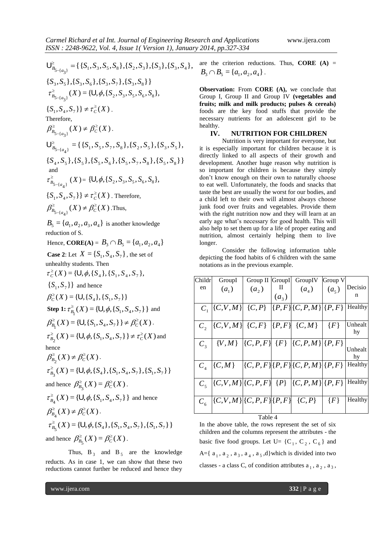${S_3, S_5}, {S_3, S_6}, {S_3, S_7}, {S_3, S_8}$  ${{\bf S}_{\substack{B_{5-\{a_{3}\}}}} \overset{\ge}{=}} \{ {\{S_{1}, S_{3}, S_{5}, S_{8}\}, {\{S_{2}, S_{3}\}, {\{S_{3}\}, \{S_{3}, S_{4}\}\}}, \}$  $\bigcup_{B_{5-}}^{\ge}$  $\tau_{B_{5-\lbrace a_{3} \rbrace}}^{\geq}(X) = \lbrace \mathsf{U}, \phi, \lbrace S_{2}, S_{3}, S_{5}, S_{6}, S_{8} \rbrace,$ - $\{S_1, S_4, S_7\} \neq \tau_C^{\geq}(X)$ . Therefore,  $\sum_{B_{\tau}}^{\geq} (X) \neq$  $\beta_{B_{5-\{a_3\}}}^{\geq}(X) \neq \beta_{C}^{\geq}(X)$ .  ${S_4, S_5}, {S_5}, {S_5}, {S_6}, {S_5, S_7}, S_8}, {S_5, S_8}$  ${\cal F}^{\geq}_{B_{5-\lbrace a_{4} \rbrace}} = \lbrace \lbrace S_{1}, S_{5}, S_{7}, S_{8} \rbrace, \lbrace S_{2}, S_{5} \rbrace, \lbrace S_{3}, S_{5} \rbrace,$  $\geq$  $\bigcup_{B_{5-}}^{\ge}$ and  $\geq$  $\tau_{B_{5-\lbrace a_{4}\rbrace}}^{\geq}(X) = \lbrace \bigcup, \phi, \lbrace S_{2}, S_{3}, S_{5}, S_{6}, S_{8}\rbrace,$  $\{S_1, S_4, S_7\}$   $\} \neq \tau_c^{\geq}(X)$ . Therefore,  $\beta_{5-\{a_4\}}^{\geq}(X) \neq \beta_C^{\geq}(X)$  $\geq$   $(V) + R^2$  $\beta_{B_{5-\lbrace a_{A}\rbrace}}^{\geq}(X)\neq\beta_{C}^{\geq}(X)$ . Thus,  $B_5 = \{a_1, a_2, a_3, a_4\}$  is another knowledge reduction of S. Hence, **CORE**(A) =  $B_3 \cap B_5 = \{a_1, a_2, a_4\}$ **Case 2**: Let  $X = \{S_1, S_4, S_7\}$ , the set of unhealthy students. Then  $\tau_c^{\geq}(X) = \{ \bigcup, \phi, \{ S_4 \}, \{ S_1, S_4, S_7 \},\}$  ${S_1, S_7}$ } and hence  $\beta_C^{\geq}(X) = \{ \mathsf{U}, \{ S_4 \}, \{ S_1, S_7 \} \}$ **Step 1:**  $\tau_{B_1}^{\ge}(X) = \{ \mathsf{U}, \phi, \{ S_1, S_4, S_7 \} \}$  and  $\beta_{B_1}^{\geq}(X) = \{U, \{S_1, S_4, S_7\}\}\neq \beta_C^{\geq}(X)$ .  $\{\tau_{B_2}^{\geq}(X) = \{U, \phi, \{S_1, S_4, S_7\}\}\neq \tau_C^{\geq}(X)$  and hence  $\beta_{B_2}^{\geq}(X)\neq\beta_{C}^{\geq}(X)$ .  $\tau_{B_3}^{\geq}(X) = \{ \bigcup, \phi, \{S_4\}, \{S_1, S_4, S_7\}, \{S_1, S_7\} \}$ and hence  $\beta_{B_3}^{\geq}(X) = \beta_C^{\geq}(X)$ .  $\tau_{B_4}^{\geq}(X) = \{ \bigcup, \phi, \{ S_1, S_4, S_7 \} \}$  and hence  $\beta_{B_4}^{\geq}(X)\neq\beta_{C}^{\geq}(X)$ .  $\tau_{B_5}^{\geq}(X) = \{ \bigcup, \phi, \{S_4\}, \{S_1, S_4, S_7\}, \{S_1, S_7\} \}$ and hence  $\beta_{B_5}^{\geq}(X) = \beta_C^{\geq}(X)$ .

Thus,  $B_3$  and  $B_5$  are the knowledge reducts. As in case 1, we can show that these two reductions cannot further be reduced and hence they

are the criterion reductions. Thus, **CORE (A)** =  $B_3 \cap B_5 = \{a_1, a_2, a_4\}.$ 

**Observation:** From **CORE (A),** we conclude that Group I, Group II and Group IV **(vegetables and fruits; milk and milk products; pulses & cereals)** foods are the key food stuffs that provide the necessary nutrients for an adolescent girl to be healthy.

# **IV. NUTRITION FOR CHILDREN**

Nutrition is very important for everyone, but it is especially important for children because it is directly linked to all aspects of their growth and development. Another huge reason why nutrition is so important for children is because they simply don"t know enough on their own to naturally choose to eat well. Unfortunately, the foods and snacks that taste the best are usually the worst for our bodies, and a child left to their own will almost always choose junk food over fruits and vegetables. Provide them with the right nutrition now and they will learn at an early age what"s necessary for good health. This will also help to set them up for a life of proper eating and nutrition, almost certainly helping them to live longer.

Consider the following information table depicting the food habits of 6 children with the same notations as in the previous example.

| Childr                              | GroupI                     | Group II GroupI |         | GroupIV                                                      | Group V |               |
|-------------------------------------|----------------------------|-----------------|---------|--------------------------------------------------------------|---------|---------------|
| en                                  | $(a_1)$                    | (a, )           |         | $(a_4)$                                                      | $(a_5)$ | Decisio       |
|                                     |                            |                 | $(a_3)$ |                                                              |         | n             |
|                                     |                            |                 |         | $C_1$ $ \{C,V,M\} $ $\{C,P\}$ $ \{P,F\} \{C,P,M\} \{P,F\}$   |         | Healthy       |
|                                     |                            |                 |         | $C_2$ $ \{C,V,M\} $ $\{C,F\}$ $ \{P,F\}$ $\{C,M\}$   $\{F\}$ |         | Unhealt<br>hy |
| $C_{\rm a}$                         |                            |                 |         | $\{V,M\}$ $\{C,P,F\}$ $\{F\}$ $\{C,P,M\}$ $\{P,F\}$          |         | Unhealt<br>hy |
| $C_{\scriptscriptstyle\mathcal{A}}$ | $\{C,M\}$                  |                 |         | [(C, P, F][P, F][C, P, M][P, F]                              |         | Healthy       |
| $C_{\rm s}$                         |                            |                 |         | $ (C,V,M) (C,P,F  \{P\}  {C,P,M}  P,F)$                      |         | Healthy       |
| $C_{\epsilon}$                      | [(C,V,M)][C,P,F][P,F][C,P] |                 |         |                                                              | $\{F\}$ | Healthy       |
|                                     |                            | Table 4         |         |                                                              |         |               |

In the above table, the rows represent the set of six children and the columns represent the attributes - the basic five food groups. Let U=  $\{C_1, C_2, C_6\}$  and A={ $a_1$ ,  $a_2$ ,  $a_3$ ,  $a_4$ ,  $a_5$ , d}which is divided into two classes - a class C, of condition attributes  $a_1$ ,  $a_2$ ,  $a_3$ ,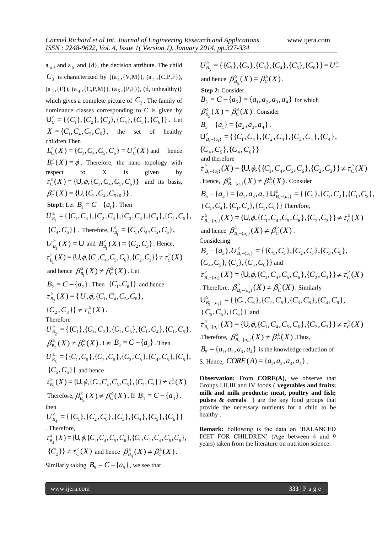$a_4$ , and  $a_5$  and  $\{d\}$ , the decision attribute. The child  $C_3$  is characterized by {(a<sub>1</sub>,{V,M}), (a<sub>2</sub>,{C,P,F}),  $(a_3, {F}), (a_4, {C,P,M}), (a_5, {P,F}), (d, un healthy)$ which gives a complete picture of  $C_3$ . The family of dominance classes corresponding to C is given by  $\bigcup_{C}^{\geq} = {\{C_1\}, \{C_2\}, \{C_3\}, \{C_4\}, \{C_5\}, \{C_6\}}$ . Let  $X = \{ C_1, C_4, C_5, C_6 \}, \text{ the set of healthy }$ children.Then  $L_C^{\geq}(X) = \{ C_1, C_4, C_5, C_6 \} = U_C^{\geq}(X)$ hence  $B_C^{\geq}(X) = \phi$ . Therefore, the nano topology with respect to  $X$  is given by  $\tau_c^{\geq}(X) = {\bf \{U, \phi,\{C_1, C_4, C_5, C_6\}}\}$  and its basis,  $\beta_C^{\geq}(X) = \{ \bigcup, \{ C_1, C_4, C_5, \, \} \}$ . **Step1**: Let  $B_1 = C - \{a_1\}$ . Then  $U_{B_1}^{\geq} = \{ \{C_1, C_4\}, \{C_2, C_4\}, \{C_3, C_4\}, \{C_4\}, \{C_4, C_5\},\$  ${C_4, C_6}$  } . Therefore,  $L_{B_1}^{\geq} = {C_1, C_4, C_5, C_6}$ ,  $U_{B_1}^{\geq}(X) = U$  and  $B_{B_1}^{\geq}(X) = \{C_2, C_3\}$ . Hence,  $\{\tau_{B_1}^{\geq}(X) = \{U, \phi, \{C_1, C_4, C_5, C_6\}, \{C_2, C_3\}\} \neq \tau_c^{\geq}(X)$ and hence  $\beta_{B_1}^{\geq}(X) \neq \beta_C^{\geq}(X)$ . Let  $B_2 = C - \{a_2\}$ . Then  $\{C_1, C_6\}$  and hence  $\tau_{B_2}^{\geq}(X) = \{ U, \phi, \{ C_1, C_4, C_5, C_6 \}, \phi \}$  ${C_2, C_3} \neq \tau_c^{\geq}(X)$ . Therefore  $U_{B_2}^{\geq} = \{ \{C_1\}, \{C_1, C_2\}, \{C_1, C_3\}, \{C_1, C_4\}, \{C_1, C_5\},\}$  $\beta_{B_2}^{\geq}(X) \neq \beta_C^{\geq}(X)$ . Let  $B_3 = C - \{a_3\}$ . Then  $U_{B_3}^{\geq} = \{ \{C_1, C_5\}, \{C_2, C_5\}, \{C_3, C_5\}, \{C_4, C_5\}, \{C_5\}, \{C_6\}$  $\{C_5, C_6\}$  and hence  $\tau_{B_3}^{\geq}(X) = \{ \bigcup, \phi, \{C_1, C_4, C_5, C_6\}, \{C_2, C_3\} \} \neq \tau_{C}^{\geq}(X)$ Therefore,  $\beta_{B_3}^{\geq}(X) \neq \beta_C^{\geq}(X)$ . If  $B_4 = C - \{a_4\}$ , then  $U_{B_4}^{\geq} = {\{C_1\}, \{C_2, C_6\}, \{C_3\}, \{C_4\}, \{C_5\}, \{C_6\}}$ . Therefore,  $\tau_{B_4}^{\geq}(X) = \{U, \phi, \{C_1, C_4, C_5, C_6\}, \{C_1, C_2, C_4, C_5, C_6\},\}$  ${C_2}$   $\} \neq \tau_c^2(X)$  and hence  $\beta_{B_4}^2(X) \neq \beta_C^2(X)$ .

Similarly taking  $B_5 = C - \{a_5\}$ , we see that

 $U_{B_5}^{\geq} = \{ \{C_1\}, \{C_2\}, \{C_3\}, \{C_4\}, \{C_5\}, \{C_6\} \} = U_C^{\geq}$ and hence  $\beta_{B_5}^{\geq}(X) = \beta_C^{\geq}(X)$ . **Step 2:** Consider  $B_5 = C - \{a_5\} = \{a_1, a_2, a_3, a_4\}$  for which  $\beta_{B_5}^{\geq}(X) = \beta_C^{\geq}(X)$ . Consider 5  ${B_5} - {a_1} = {a_2, a_3, a_4}.$  ${C_4, C_5}, {C_4, C_6}$  $\bigcup_{B_5 - \{a_1\}}^{\geq} = \{ \{C_1, C_4\}, \{C_2, C_4\}, \{C_3, C_4\}, \{C_4\},\$ and therefore  $\tau_{B_5 - \{a_1\}}^{\geq}(X) = \{ \bigcup, \phi, \{ \{C_1, C_4, C_5, C_6\}, \{C_2, C_3\} \} \neq \tau_C^{\geq}(X)$ . Hence,  $\beta_{B_5 - \{a_1\}}^{\geq}(X) \neq \beta_C^{\geq}(X)$ . Consider  ${B_5} - {a_2} = {a_1, a_3, a_4} \cup \frac{\sum_{B_5 - {a_2} }^{8} }{E_6} = {C_1}, {C_1}, {C_2}, {C_1}, {C_3},$  ${C_1, C_4}, {C_1, C_5}, {C_1, C_6}$  Therefore,  $\tau_{B_5 - \{a_2\}}^{\geq}(X) = \{ \bigcup, \phi, \{C_1, C_4, C_5, C_6\}, \{C_2, C_3\} \} \neq \tau_C^{\geq}(X)$ and hence  $\beta_{B_5 - \{a_2\}}^{\geq}(X) \neq \beta_C^{\geq}(X)$ . Considering  ${B}_{5} - {a}_{3}, {U}_{B_{5} - {a}_{3}}^{2} = {C_{1}, C_{5}, C_{5}, C_{5}, C_{5}}$  ${C_4, C_5}, {C_5}, {C_5, C_6}$  and  $\tau_{B_5 - \{a_3\}}^{\geq}(X) = \{ \bigcup, \phi, \{C_1, C_4, C_5, C_6\}, \{C_2, C_3\} \} \neq \tau_C^{\geq}(X)$ . Therefore,  $\beta_{B_5 - \{a_3\}}^{\geq}(X) \neq \beta_C^{\geq}(X)$ . Similarly  $\bigcup_{B_5 - \{a_4\}}^{\geq} = \{ \{C_1, C_6\}, \{C_2, C_6\}, \{C_3, C_6\}, \{C_4, C_6\},\$  ${C_5, C_6}, {C_6}$  } and  $\tau_{B_5 - \{a_5\}}^{\geq}(X) = \{ \bigcup, \phi, \{C_1, C_4, C_5, C_6\}, \{C_2, C_3\} \} \neq \tau_C^{\geq}(X)$ Therefore,  $\beta_{B_5-\lbrace a_4 \rbrace}^{\geq}(X) \neq \beta_C^{\geq}(X)$ . Thus,  $B_5 = \{a_1, a_2, a_3, a_4\}$  is the knowledge reduction of S. Hence,  $CORE(A) = {a_1, a_2, a_3, a_4}$ .

**Observation:** From **CORE(A)**, we observe that Groups I,II,III and IV foods ( **vegetables and fruits; milk and milk products; meat, poultry and fish; pulses & cereals** ) are the key food groups that provide the necessary nutrients for a child to be healthy .

**Remark:** Following is the data on "BALANCED DIET FOR CHILDREN' (Age between 4 and 9 years) taken from the literature on nutrition science.